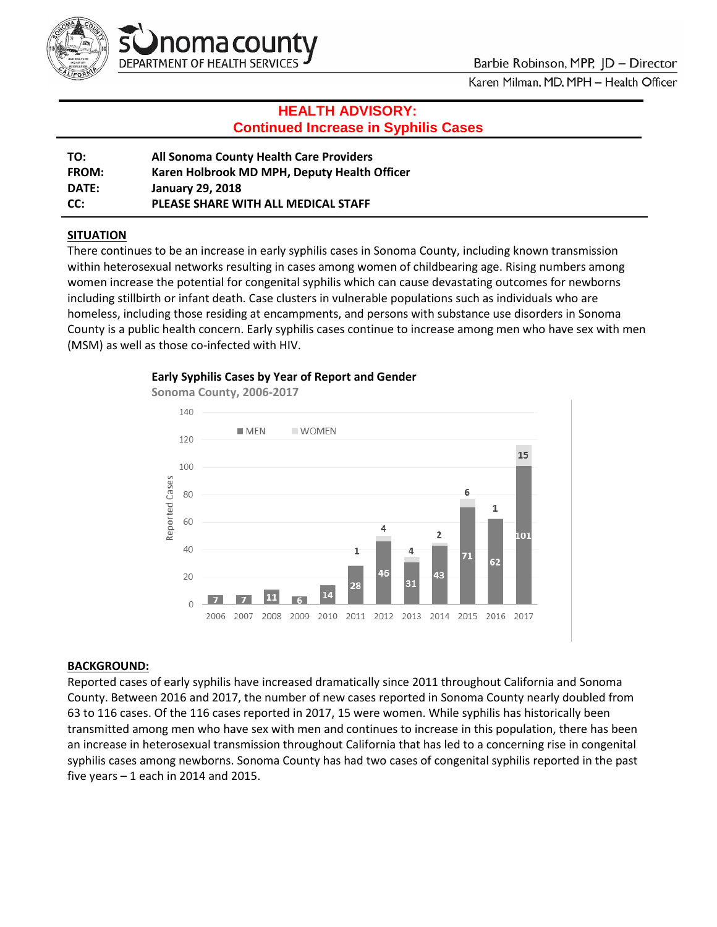

# **HEALTH ADVISORY: Continued Increase in Syphilis Cases**

| TO:          | All Sonoma County Health Care Providers      |
|--------------|----------------------------------------------|
| <b>FROM:</b> | Karen Holbrook MD MPH, Deputy Health Officer |
| DATE:        | <b>January 29, 2018</b>                      |
| CC:          | PLEASE SHARE WITH ALL MEDICAL STAFF          |

## **SITUATION**

There continues to be an increase in early syphilis cases in Sonoma County, including known transmission within heterosexual networks resulting in cases among women of childbearing age. Rising numbers among women increase the potential for congenital syphilis which can cause devastating outcomes for newborns including stillbirth or infant death. Case clusters in vulnerable populations such as individuals who are homeless, including those residing at encampments, and persons with substance use disorders in Sonoma County is a public health concern. Early syphilis cases continue to increase among men who have sex with men (MSM) as well as those co-infected with HIV.



#### **Early Syphilis Cases by Year of Report and Gender**

#### **BACKGROUND:**

Reported cases of early syphilis have increased dramatically since 2011 throughout California and Sonoma County. Between 2016 and 2017, the number of new cases reported in Sonoma County nearly doubled from 63 to 116 cases. Of the 116 cases reported in 2017, 15 were women. While syphilis has historically been transmitted among men who have sex with men and continues to increase in this population, there has been an increase in heterosexual transmission throughout California that has led to a concerning rise in congenital syphilis cases among newborns. Sonoma County has had two cases of congenital syphilis reported in the past five years  $-1$  each in 2014 and 2015.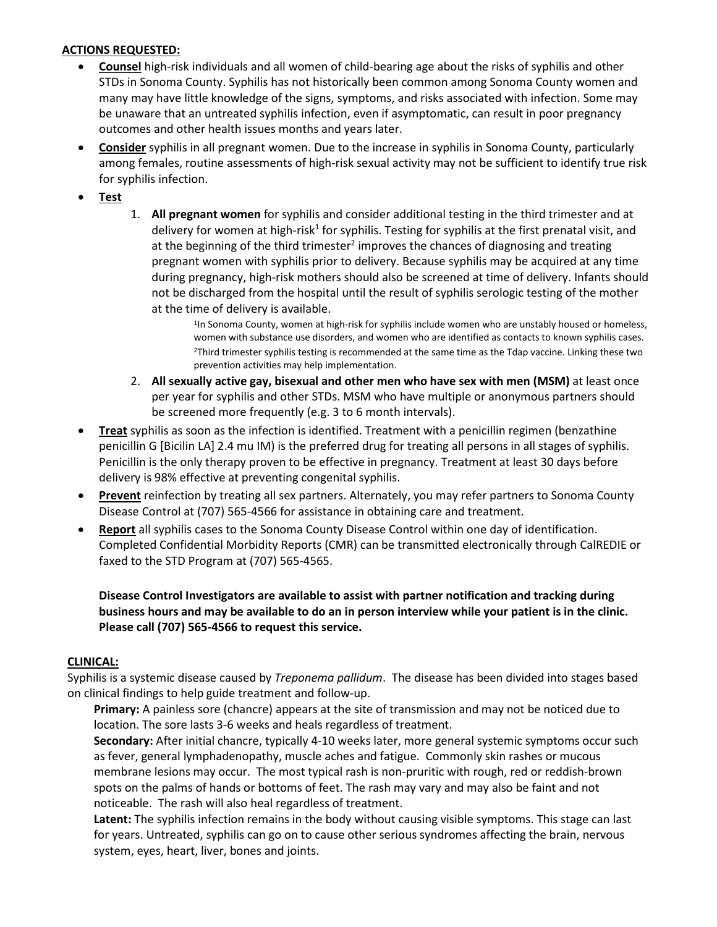### **ACTIONS REQUESTED:**

- **Counsel** high-risk individuals and all women of child-bearing age about the risks of syphilis and other STDs in Sonoma County. Syphilis has not historically been common among Sonoma County women and many may have little knowledge of the signs, symptoms, and risks associated with infection. Some may be unaware that an untreated syphilis infection, even if asymptomatic, can result in poor pregnancy outcomes and other health issues months and years later.
- **Consider** syphilis in all pregnant women. Due to the increase in syphilis in Sonoma County, particularly among females, routine assessments of high-risk sexual activity may not be sufficient to identify true risk for syphilis infection.
- **Test**
- 1. **All pregnant women** for syphilis and consider additional testing in the third trimester and at delivery for women at high-risk<sup>1</sup> for syphilis. Testing for syphilis at the first prenatal visit, and at the beginning of the third trimester<sup>2</sup> improves the chances of diagnosing and treating pregnant women with syphilis prior to delivery. Because syphilis may be acquired at any time during pregnancy, high-risk mothers should also be screened at time of delivery. Infants should not be discharged from the hospital until the result of syphilis serologic testing of the mother at the time of delivery is available.<br><sup>1</sup>In Sonoma County, women at high-risk for syphilis include women who are unstably housed or homeless.

women with substance use disorders, and women who are identified as contacts to known syphilis cases. 2Third trimester syphilis testing is recommended at the same time as the Tdap vaccine. Linking these two prevention activities may help implementation.

- 2. **All sexually active gay, bisexual and other men who have sex with men (MSM)** at least once per year for syphilis and other STDs. MSM who have multiple or anonymous partners should be screened more frequently (e.g. 3 to 6 month intervals).
- **Treat** syphilis as soon as the infection is identified. Treatment with a penicillin regimen (benzathine penicillin G [Bicilin LA] 2.4 mu IM) is the preferred drug for treating all persons in all stages of syphilis. Penicillin is the only therapy proven to be effective in pregnancy. Treatment at least 30 days before delivery is 98% effective at preventing congenital syphilis.
- **Prevent** reinfection by treating all sex partners. Alternately, you may refer partners to Sonoma County Disease Control at (707) 565-4566 for assistance in obtaining care and treatment.
- **Report** all syphilis cases to the Sonoma County Disease Control within one day of identification. Completed Confidential Morbidity Reports (CMR) can be transmitted electronically through CalREDIE or faxed to the STD Program at (707) 565-4565.

**Disease Control Investigators are available to assist with partner notification and tracking during business hours and may be available to do an in person interview while your patient is in the clinic. Please call (707) 565-4566 to request this service.**

#### **CLINICAL:**

Syphilis is a systemic disease caused by *Treponema pallidum*. The disease has been divided into stages based on clinical findings to help guide treatment and follow-up.

**Primary:** A painless sore (chancre) appears at the site of transmission and may not be noticed due to location. The sore lasts 3-6 weeks and heals regardless of treatment.

**Secondary:** After initial chancre, typically 4-10 weeks later, more general systemic symptoms occur such as fever, general lymphadenopathy, muscle aches and fatigue. Commonly skin rashes or mucous membrane lesions may occur. The most typical rash is non-pruritic with rough, red or reddish-brown spots on the palms of hands or bottoms of feet. The rash may vary and may also be faint and not noticeable. The rash will also heal regardless of treatment.

**Latent:** The syphilis infection remains in the body without causing visible symptoms. This stage can last for years. Untreated, syphilis can go on to cause other serious syndromes affecting the brain, nervous system, eyes, heart, liver, bones and joints.